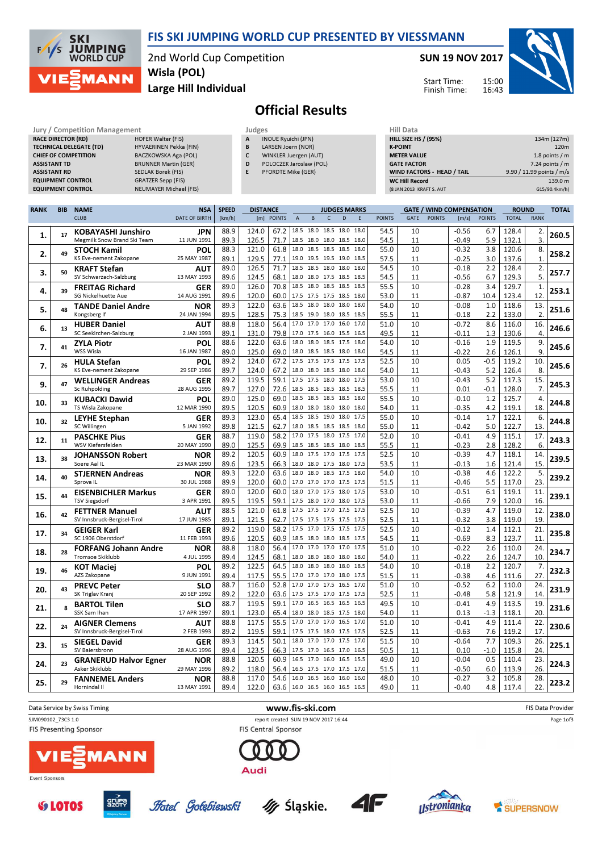

2nd World Cup Competition Large Hill Individual Wisla (POL)

### SUN 19 NOV 2017



Start Time: Finish Time:

# Official Results

| Jury / Competition Management  |                               | Judges       |                            | <b>Hill Data</b>   |
|--------------------------------|-------------------------------|--------------|----------------------------|--------------------|
| <b>RACE DIRECTOR (RD)</b>      | <b>HOFER Walter (FIS)</b>     | $\mathbf{A}$ | <b>INOUE Ryuichi (JPN)</b> | <b>HILL SIZE H</b> |
| <b>TECHNICAL DELEGATE (TD)</b> | HYVAERINEN Pekka (FIN)        | B            | LARSEN Joern (NOR)         | <b>K-POINT</b>     |
| <b>CHIEF OF COMPETITION</b>    | BACZKOWSKA Aga (POL)          |              | WINKLER Juergen (AUT)      | <b>METER VAI</b>   |
| <b>ASSISTANT TD</b>            | <b>BRUNNER Martin (GER)</b>   | D            | POLOCZEK Jaroslaw (POL)    | <b>GATE FACT</b>   |
| <b>ASSISTANT RD</b>            | SEDLAK Borek (FIS)            | E            | <b>PFORDTE Mike (GER)</b>  | <b>WIND FACT</b>   |
| <b>EQUIPMENT CONTROL</b>       | <b>GRATZER Sepp (FIS)</b>     |              |                            | <b>WC Hill Reg</b> |
| <b>EQUIPMENT CONTROL</b>       | <b>NEUMAYER Michael (FIS)</b> |              |                            | (8 JAN 2013        |

**SKI** 

 $F/1/S$ 

**JUMPING**<br>WORLD CUP

**MANN** 

| Judges       |                            |
|--------------|----------------------------|
| $\mathbf{A}$ | <b>INOUE Ryuichi (JPN)</b> |

- B LARSEN Joern (NOR)
- C WINKLER Juergen (AUT) D POLOCZEK Jaroslaw (POL)
- E PFORDTE Mike (GER)

| .                           |                           |
|-----------------------------|---------------------------|
| <b>HILL SIZE HS / (95%)</b> | 134m (127m)               |
| <b>K-POINT</b>              | 120 <sub>m</sub>          |
| <b>METER VALUE</b>          | 1.8 points $/m$           |
| <b>GATE FACTOR</b>          | $7.24$ points / m         |
| WIND FACTORS - HEAD / TAIL  | 9.90 / 11.99 points / m/s |
| <b>WC Hill Record</b>       | 139.0 m                   |
| (8 JAN 2013 KRAFT S. AUT    | G15/90.4km/h)             |

| <b>RANK</b> | <b>BIB</b> | <b>NAME</b>                                         | <b>NSA</b>                | <b>SPEED</b> | <b>DISTANCE</b> |                               |                |                                                      |              | <b>JUDGES MARKS</b> |      |               |          |               | <b>GATE / WIND COMPENSATION</b> |               | <b>ROUND</b>   |                  | <b>TOTAL</b> |
|-------------|------------|-----------------------------------------------------|---------------------------|--------------|-----------------|-------------------------------|----------------|------------------------------------------------------|--------------|---------------------|------|---------------|----------|---------------|---------------------------------|---------------|----------------|------------------|--------------|
|             |            | <b>CLUB</b>                                         | <b>DATE OF BIRTH</b>      | [km/h]       | [m] POINTS      |                               | $\overline{A}$ | $\, {\bf B}$                                         | $\mathsf{C}$ | D                   | E    | <b>POINTS</b> | GATE     | <b>POINTS</b> | [m/s]                           | <b>POINTS</b> | <b>TOTAL</b>   | <b>RANK</b>      |              |
|             |            | <b>KOBAYASHI Junshiro</b>                           | <b>JPN</b>                | 88.9         | 124.0           | 67.2                          | 18.5           | 18.0 18.5 18.0                                       |              |                     | 18.0 | 54.5          | 10       |               | $-0.56$                         | 6.7           | 128.4          | 2.               |              |
| 1.          | 17         | Megmilk Snow Brand Ski Team                         | 11 JUN 1991               | 89.3         | 126.5           | 71.7                          |                | 18.5 18.0 18.0 18.5 18.0                             |              |                     |      | 54.5          | 11       |               | $-0.49$                         | 5.9           | 132.1          | $\overline{3}$ . | 260.5        |
|             |            | <b>STOCH Kamil</b>                                  | POL                       | 88.3         | 121.0           | 61.8                          | 18.0           | 18.5 18.5 18.5                                       |              |                     | 18.0 | 55.0          | 10       |               | $-0.32$                         | 3.8           | 120.6          | 8.               |              |
| 2.          | 49         | KS Eve-nement Zakopane                              | 25 MAY 1987               | 89.1         | 129.5           | 77.1                          |                | 19.0 19.5 19.5 19.0 18.5                             |              |                     |      | 57.5          | 11       |               | $-0.25$                         | 3.0           | 137.6          | $\mathbf{1}$     | 258.2        |
| 3.          | 50         | <b>KRAFT Stefan</b>                                 | AUT                       | 89.0         | 126.5           | 71.7                          |                | 18.5 18.5 18.0 18.0 18.0                             |              |                     |      | 54.5          | 10       |               | $-0.18$                         | 2.2           | 128.4          | 2.               | 257.7        |
|             |            | SV Schwarzach-Salzburg                              | 13 MAY 1993               | 89.6         | 124.5           | 68.1                          |                | 18.0 18.0 17.5 18.5                                  |              |                     | 18.5 | 54.5          | 11       |               | $-0.56$                         | 6.7           | 129.3          | 5.               |              |
| 4.          | 39         | <b>FREITAG Richard</b>                              | <b>GER</b>                | 89.0         | 126.0           | 70.8                          |                | 18.5 18.0 18.5 18.5                                  |              |                     | 18.5 | 55.5          | 10       |               | $-0.28$                         | 3.4           | 129.7          | $\mathbf{1}$     | 253.1        |
|             |            | <b>SG Nickelhuette Aue</b>                          | 14 AUG 1991               | 89.6         | 120.0           | 60.0                          |                | 17.5 17.5 17.5 18.5                                  |              |                     | 18.0 | 53.0          | 11       |               | $-0.87$                         | 10.4          | 123.4          | 12.              |              |
| 5.          | 48         | <b>TANDE Daniel Andre</b>                           | <b>NOR</b>                | 89.3         | 122.0           | 63.6                          | 18.5           | 18.0                                                 | 18.0 18.0    |                     | 18.0 | 54.0          | 10       |               | $-0.08$                         | 1.0           | 118.6          | 13.              | 251.6        |
|             |            | Kongsberg If                                        | 24 JAN 1994               | 89.5         | 128.5           | 75.3                          |                | 18.5 19.0 18.0 18.5 18.5                             |              |                     |      | 55.5          | 11       |               | $-0.18$                         | 2.2           | 133.0          | $\overline{2}$   |              |
| 6.          | 13         | <b>HUBER Daniel</b>                                 | AUT                       | 88.8         | 118.0           | 56.4                          |                | 17.0 17.0 17.0 16.0 17.0                             |              |                     |      | 51.0          | 10       |               | $-0.72$                         | 8.6           | 116.0          | 16.              | 246.6        |
|             |            | SC Seekirchen-Salzburg                              | 2 JAN 1993                | 89.1         | 131.0           | 79.8                          |                | 17.0 17.5 16.0 15.5                                  |              |                     | 16.5 | 49.5          | 11       |               | $-0.11$                         | 1.3           | 130.6          | $\overline{4}$ . |              |
| 7.          | 41         | <b>ZYLA Piotr</b>                                   | POL                       | 88.6         | 122.0           | 63.6                          | 18.0           | 18.0 18.5 17.5                                       |              |                     | 18.0 | 54.0          | 10       |               | $-0.16$                         | 1.9           | 119.5          | 9.               | 245.6        |
|             |            | WSS Wisla                                           | 16 JAN 1987               | 89.0         | 125.0           | 69.0                          |                | 18.0 18.5 18.5 18.0 18.0                             |              |                     |      | 54.5          | 11       |               | $-0.22$                         | 2.6           | 126.1          | 9.               |              |
| 7.          | 26         | <b>HULA Stefan</b><br><b>KS Eve-nement Zakopane</b> | POL<br>29 SEP 1986        | 89.2         | 124.0           | 67.2                          |                | 17.5 17.5 17.5 17.5 17.5<br>18.0 18.0 18.5 18.0 18.0 |              |                     |      | 52.5          | 10       |               | 0.05                            | $-0.5$        | 119.2          | 10.              | 245.6        |
|             |            |                                                     |                           | 89.7<br>89.2 | 124.0<br>119.5  | 67.2<br>59.1                  |                | 17.5 17.5 18.0 18.0 17.5                             |              |                     |      | 54.0<br>53.0  | 11<br>10 |               | $-0.43$<br>$-0.43$              | 5.2<br>5.2    | 126.4<br>117.3 | 8.<br>15.        |              |
| 9.          | 47         | <b>WELLINGER Andreas</b><br>Sc Ruhpolding           | <b>GER</b><br>28 AUG 1995 | 89.7         | 127.0           | 72.6                          |                | 18.5 18.5 18.5 18.5 18.5                             |              |                     |      | 55.5          | 11       |               | 0.01                            | $-0.1$        | 128.0          | 7.               | 245.3        |
|             |            | <b>KUBACKI Dawid</b>                                | POL                       | 89.0         | 125.0           | 69.0                          |                | 18.5 18.5 18.5 18.5 18.0                             |              |                     |      | 55.5          | 10       |               | $-0.10$                         | 1.2           | 125.7          | 4.               |              |
| 10.         | 33         | TS Wisla Zakopane                                   | 12 MAR 1990               | 89.5         | 120.5           | 60.9                          |                | 18.0 18.0 18.0 18.0                                  |              |                     | 18.0 | 54.0          | 11       |               | $-0.35$                         | 4.2           | 119.1          | 18.              | 244.8        |
|             |            | <b>LEYHE Stephan</b>                                | <b>GER</b>                | 89.3         | 123.0           | 65.4                          |                | 18.5 18.5 19.0 18.0                                  |              |                     | 17.5 | 55.0          | 10       |               | $-0.14$                         | 1.7           | 122.1          | 6.               |              |
| 10.         | 32         | SC Willingen                                        | 5 JAN 1992                | 89.8         | 121.5           | 62.7                          |                | 18.0 18.5 18.5 18.5 18.0                             |              |                     |      | 55.0          | 11       |               | $-0.42$                         | 5.0           | 122.7          | 13.              | 244.8        |
|             |            | <b>PASCHKE Pius</b>                                 | <b>GER</b>                | 88.7         | 119.0           | 58.2                          | 17.0           | 17.5 18.0 17.5                                       |              |                     | 17.0 | 52.0          | 10       |               | $-0.41$                         | 4.9           | 115.1          | 17.              |              |
| 12.         | 11         | WSV Kiefersfelden                                   | 20 MAY 1990               | 89.0         | 125.5           | 69.9                          |                | 18.5 18.5 18.5 18.0 18.5                             |              |                     |      | 55.5          | 11       |               | $-0.23$                         | 2.8           | 128.2          | 6.               | 243.3        |
|             |            | <b>JOHANSSON Robert</b>                             | <b>NOR</b>                | 89.2         | 120.5           | 60.9                          |                | 18.0 17.5 17.0 17.5 17.5                             |              |                     |      | 52.5          | 10       |               | $-0.39$                         | 4.7           | 118.1          | 14.              |              |
| 13.         | 38         | Soere Aal IL                                        | 23 MAR 1990               | 89.6         | 123.5           | 66.3                          |                | 18.0 18.0 17.5 18.0 17.5                             |              |                     |      | 53.5          | 11       |               | $-0.13$                         | 1.6           | 121.4          | 15.              | 239.5        |
| 14.         | 40         | <b>STJERNEN Andreas</b>                             | <b>NOR</b>                | 89.3         | 122.0           | 63.6                          | 18.0           | 18.0 18.5 17.5 18.0                                  |              |                     |      | 54.0          | 10       |               | $-0.38$                         | 4.6           | 122.2          | 5.               | 239.2        |
|             |            | Sprova <sub>IL</sub>                                | 30 JUL 1988               | 89.9         | 120.0           | 60.0                          |                | 17.0 17.0 17.0 17.5 17.5                             |              |                     |      | 51.5          | 11       |               | $-0.46$                         | 5.5           | 117.0          | 23.              |              |
| 15.         | 44         | <b>EISENBICHLER Markus</b>                          | <b>GER</b>                | 89.0         | 120.0           | 60.0                          | 18.0           | 17.0 17.5 18.0 17.5                                  |              |                     |      | 53.0          | 10       |               | $-0.51$                         | 6.1           | 119.1          | 11.              | 239.1        |
|             |            | <b>TSV Siegsdorf</b>                                | 3 APR 1991                | 89.5         | 119.5           | 59.1                          |                | 17.5 18.0 17.0 18.0 17.5                             |              |                     |      | 53.0          | 11       |               | $-0.66$                         | 7.9           | 120.0          | 16.              |              |
| 16.         | 42         | <b>FETTNER Manuel</b>                               | AUT                       | 88.5         | 121.0           | 61.8                          |                | 17.5 17.5 17.0 17.5 17.5                             |              |                     |      | 52.5          | 10       |               | $-0.39$                         | 4.7           | 119.0          | 12.              | 238.0        |
|             |            | SV Innsbruck-Bergisel-Tirol                         | 17 JUN 1985               | 89.1         | 121.5           | 62.7                          |                | 17.5 17.5 17.5 17.5 17.5                             |              |                     |      | 52.5          | 11       |               | $-0.32$                         | 3.8           | 119.0          | 19.              |              |
| 17.         | 34         | <b>GEIGER Karl</b>                                  | <b>GER</b>                | 89.2         | 119.0           | 58.2                          |                | 17.5 17.0 17.5 17.5 17.5                             |              |                     |      | 52.5          | 10       |               | $-0.12$                         | 1.4           | 112.1          | 21.              | 235.8        |
|             |            | SC 1906 Oberstdorf                                  | 11 FEB 1993               | 89.6         | 120.5           | 60.9                          |                | 18.5 18.0 18.0 18.5 17.5                             |              |                     |      | 54.5          | 11       |               | $-0.69$                         | 8.3           | 123.7          | 11.              |              |
| 18.         | 28         | <b>FORFANG Johann Andre</b>                         | <b>NOR</b>                | 88.8         | 118.0           | 56.4                          |                | 17.0 17.0 17.0 17.0                                  |              |                     | 17.5 | 51.0          | 10       |               | $-0.22$                         | 2.6           | 110.0          | 24.              | 234.7        |
|             |            | Tromsoe Skiklubb                                    | 4 JUL 1995                | 89.4<br>89.2 | 124.5<br>122.5  | 68.1<br>64.5                  |                | 18.0 18.0 18.0 18.0 18.0<br>18.0 18.0 18.0 18.0 18.5 |              |                     |      | 54.0<br>54.0  | 11<br>10 |               | $-0.22$<br>$-0.18$              | 2.6<br>2.2    | 124.7<br>120.7 | 10.<br>7.        |              |
| 19.         | 46         | <b>KOT Maciej</b><br>AZS Zakopane                   | <b>POL</b><br>9 JUN 1991  | 89.4         | 117.5           | 55.5                          |                | 17.0 17.0 17.0 18.0 17.5                             |              |                     |      | 51.5          | 11       |               | $-0.38$                         | 4.6           | 111.6          | 27.              | 232.3        |
|             |            | <b>PREVC Peter</b>                                  | <b>SLO</b>                | 88.7         | 116.0           | 52.8                          |                | 17.0 17.0 17.5 16.5 17.0                             |              |                     |      | 51.0          | 10       |               | $-0.52$                         | 6.2           | 110.0          | 24.              |              |
| 20.         | 43         | SK Triglav Kranj                                    | 20 SEP 1992               | 89.2         | 122.0           | 63.6                          |                | 17.5 17.5 17.0 17.5 17.5                             |              |                     |      | 52.5          | 11       |               | $-0.48$                         | 5.8           | 121.9          | 14.              | 231.9        |
|             |            | <b>BARTOL Tilen</b>                                 | SLO                       | 88.7         | 119.5           | 59.1                          | 17.0           | 16.5 16.5 16.5 16.5                                  |              |                     |      | 49.5          | 10       |               | $-0.41$                         | 4.9           | 113.5          | 19.              |              |
| 21.         | 8          | SSK Sam Ihan                                        | 17 APR 1997               | 89.1         | 123.0           | 65.4                          |                | 18.0 18.0 18.5 17.5 18.0                             |              |                     |      | 54.0          | 11       |               | 0.13                            | $-1.3$        | 118.1          | 20.              | 231.6        |
|             |            | <b>AIGNER Clemens</b>                               | <b>AUT</b>                | 88.8         | 117.5           | 55.5                          |                | 17.0 17.0 17.0 16.5 17.0                             |              |                     |      | 51.0          | 10       |               | $-0.41$                         | 4.9           | 111.4          | 22.              |              |
| 22.         | 24         | SV Innsbruck-Bergisel-Tirol                         | 2 FEB 1993                | 89.2         | 119.5           | 59.1                          |                | 17.5 17.5 18.0 17.5 17.5                             |              |                     |      | 52.5          | 11       |               | $-0.63$                         | 7.6           | 119.2          | 17.              | 230.6        |
|             |            | <b>SIEGEL David</b>                                 | <b>GER</b>                | 89.3         | 114.5           | 50.1                          |                | 18.0 17.0 17.0 17.5 17.0                             |              |                     |      | 51.5          | 10       |               | $-0.64$                         | 7.7           | 109.3          | 26.              |              |
| 23.         | 15         | SV Baiersbronn                                      | 28 AUG 1996               | 89.4         | 123.5           | 66.3                          |                | 17.5 17.0 16.5 17.0                                  |              |                     | 16.5 | 50.5          | 11       |               | 0.10                            | $-1.0$        | 115.8          | 24.              | 225.1        |
| 24.         | 23         | <b>GRANERUD Halvor Egner</b>                        | <b>NOR</b>                | 88.8         | 120.5           | 60.9                          | 16.5 17.0      |                                                      | 16.0 16.5    |                     | 15.5 | 49.0          | 10       |               | $-0.04$                         | 0.5           | 110.4          | 23.              | 224.3        |
|             |            | Asker Skiklubb                                      | 29 MAY 1996               | 89.2         | 118.0           | 56.4                          |                | 16.5 17.5 17.0 17.5 17.0                             |              |                     |      | 51.5          | 11       |               | $-0.50$                         | 6.0           | 113.9          | 26.              |              |
| 25.         | 29         | <b>FANNEMEL Anders</b>                              | <b>NOR</b>                | 88.8         | 117.0           | 54.6                          |                | 16.0 16.5 16.0 16.0                                  |              |                     | 16.0 | 48.0          | 10       |               | $-0.27$                         | 3.2           | 105.8          | 28.              | 223.2        |
|             |            | Hornindal II                                        | 13 MAY 1991               | 89.4         | 122.0           | 63.6 16.0 16.5 16.0 16.5 16.5 |                |                                                      |              |                     |      | 49.0          | 11       |               | $-0.40$                         | 4.8           | 117.4          | 22.              |              |







**Hotel** Golebiewski





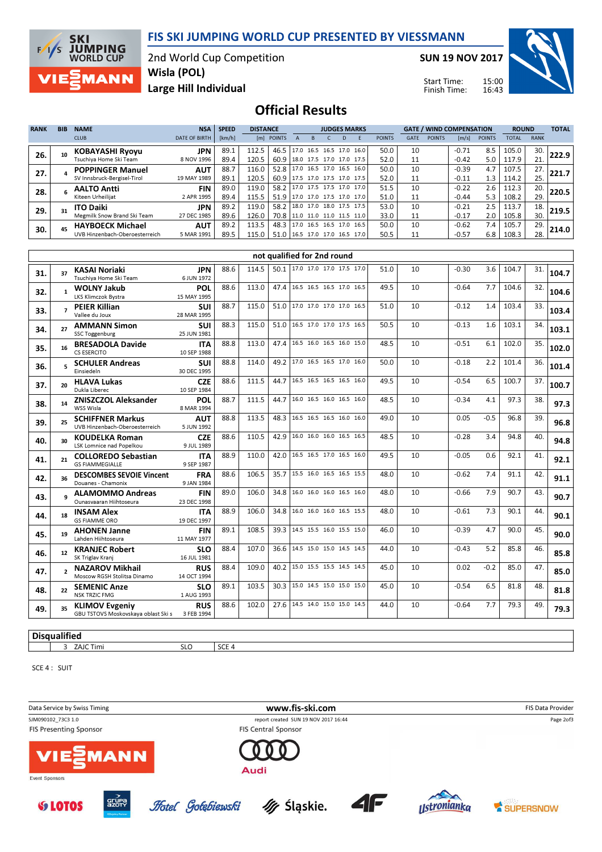## FIS SKI JUMPING WORLD CUP PRESENTED BY VIESSMANN

2nd World Cup Competition Wisla (POL)

SUN 19 NOV 2017

Start Time: Finish Time:



Large Hill Individual

**SKI** 

 $F/1/S$ 

**JUMPING**<br>WORLD CUP

**MANN** 

Official Results

| <b>RANK</b> | <b>BIB</b> | <b>NAME</b>                    | <b>NSA</b>           | <b>SPEED</b> | <b>DISTANCE</b> |            |      | <b>JUDGES MARKS</b> |                          |    |                          |               | <b>GATE / WIND COMPENSATION</b> |               |         |               | <b>ROUND</b> |             | <b>TOTAL</b> |
|-------------|------------|--------------------------------|----------------------|--------------|-----------------|------------|------|---------------------|--------------------------|----|--------------------------|---------------|---------------------------------|---------------|---------|---------------|--------------|-------------|--------------|
|             |            | <b>CLUB</b>                    | <b>DATE OF BIRTH</b> | [km/h]       |                 | [m] POINTS |      |                     |                          | D. |                          | <b>POINTS</b> | <b>GATE</b>                     | <b>POINTS</b> | [m/s]   | <b>POINTS</b> | <b>TOTAL</b> | <b>RANK</b> |              |
| 26.         |            | <b>KOBAYASHI Ryoyu</b>         | JPN                  | 89.1         | 112.5           | 46.5       | 17.0 | 16.5                |                          |    | 16.5 17.0 16.0           | 50.0          | 10                              |               | $-0.71$ | 8.5           | 105.0        | 30.         | 222.9        |
|             |            | Tsuchiya Home Ski Team         | 8 NOV 1996           | 89.4         | 120.5           | 60.9       |      |                     | 18.0 17.5 17.0 17.0 17.5 |    |                          | 52.0          | 11                              |               | $-0.42$ | 5.0           | 117.9        | 21.         |              |
| 27.         |            | <b>POPPINGER Manuel</b>        | <b>AUT</b>           | 88.7         | 116.0           | 52.8       |      |                     |                          |    | 17.0 16.5 17.0 16.5 16.0 | 50.0          | 10                              |               | $-0.39$ | 4.7           | 107.5        | 27.         | 221.7        |
|             |            | SV Innsbruck-Bergisel-Tirol    | 19 MAY 1989          | 89.1         | 120.5           | 60.9       |      |                     | 17.5 17.0 17.5 17.0 17.5 |    |                          | 52.0          | 11                              |               | $-0.11$ | 1.3           | 114.2        | 25.         |              |
| 28.         |            | <b>AALTO Antti</b>             | <b>FIN</b>           | 89.0         | 119.0           | 58.2       |      |                     |                          |    | 17.0 17.5 17.5 17.0 17.0 | 51.5          | 10                              |               | $-0.22$ | 2.6           | 112.3        | 20.         | 220.5        |
|             |            | Kiteen Urheilijat              | 2 APR 1995           | 89.4         | 115.5           | 51.9       |      |                     |                          |    | 17.0 17.0 17.5 17.0 17.0 | 51.0          | 11                              |               | $-0.44$ | 5.3           | 108.2        | 29.         |              |
| 29.         |            | <b>ITO Daiki</b>               | <b>JPN</b>           | 89.2         | 119.0           | 58.2       |      |                     |                          |    | 18.0 17.0 18.0 17.5 17.5 | 53.0          | 10                              |               | $-0.21$ | 2.5           | 113.7        | 18.         | 219.5        |
|             |            | Megmilk Snow Brand Ski Team    | 27 DEC 1985          | 89.6         | 126.0           | 70.8       |      |                     | 11.0 11.0 11.0 11.5 11.0 |    |                          | 33.0          | 11                              |               | $-0.17$ | 2.0           | 105.8        | 30.         |              |
| 30.         |            | <b>HAYBOECK Michael</b>        | <b>AUT</b>           | 89.2         | 113.5           | 48.3       |      |                     | 17.0 16.5 16.5 17.0 16.5 |    |                          | 50.0          | 10                              |               | $-0.62$ | 7.4           | 105.7        | 29.         | 214.0        |
|             |            | UVB Hinzenbach-Oberoesterreich | 5 MAR 1991           | 89.5         | 115.0           | 51.0       |      |                     |                          |    | 16.5 17.0 17.0 16.5 17.0 | 50.5          | 11                              |               | $-0.57$ | 6.8           | 108.3        | 28.         |              |

| 104.7<br>3.6<br>31<br>104.6<br>32.<br>103.4<br>1.4<br>33.<br>1.6<br>103.1<br>34. | 104.7<br>104.6<br>103.4 |
|----------------------------------------------------------------------------------|-------------------------|
|                                                                                  |                         |
|                                                                                  |                         |
|                                                                                  |                         |
|                                                                                  | 103.1                   |
| 102.0<br>35.                                                                     | 102.0                   |
| 101.4<br>36.                                                                     | 101.4                   |
| 100.7<br>37.                                                                     | 100.7                   |
| 97.3<br>38.                                                                      | 97.3                    |
| 96.8<br>39.                                                                      | 96.8                    |
| 94.8<br>40.                                                                      | 94.8                    |
| 92.1<br>41.                                                                      | 92.1                    |
| 91.1<br>42.                                                                      | 91.1                    |
| 7.9<br>90.7<br>43.                                                               | 90.7                    |
| 7.3<br>90.1<br>44.                                                               | 90.1                    |
| 90.0<br>45.                                                                      | 90.0                    |
| 85.8<br>46.                                                                      | 85.8                    |
| 85.0<br>47.                                                                      | 85.0                    |
| 81.8<br>48.                                                                      | 81.8                    |
| 79.3<br>49.                                                                      | 79.3                    |
|                                                                                  |                         |

### **Disqualified**

3 ZAJC Timi SLO SCE 4

SCE 4 : SUIT